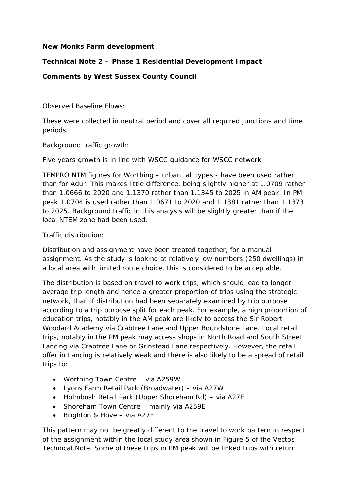#### **New Monks Farm development**

# **Technical Note 2 – Phase 1 Residential Development Impact**

### **Comments by West Sussex County Council**

#### *Observed Baseline Flows:*

These were collected in neutral period and cover all required junctions and time periods.

#### *Background traffic growth:*

Five years growth is in line with WSCC guidance for WSCC network.

TEMPRO NTM figures for Worthing – urban, all types - have been used rather than for Adur. This makes little difference, being slightly higher at 1.0709 rather than 1.0666 to 2020 and 1.1370 rather than 1.1345 to 2025 in AM peak. In PM peak 1.0704 is used rather than 1.0671 to 2020 and 1.1381 rather than 1.1373 to 2025. Background traffic in this analysis will be slightly greater than if the local NTEM zone had been used.

#### *Traffic distribution:*

Distribution and assignment have been treated together, for a manual assignment. As the study is looking at relatively low numbers (250 dwellings) in a local area with limited route choice, this is considered to be acceptable.

The distribution is based on travel to work trips, which should lead to longer average trip length and hence a greater proportion of trips using the strategic network, than if distribution had been separately examined by trip purpose according to a trip purpose split for each peak. For example, a high proportion of education trips, notably in the AM peak are likely to access the Sir Robert Woodard Academy via Crabtree Lane and Upper Boundstone Lane. Local retail trips, notably in the PM peak may access shops in North Road and South Street Lancing via Crabtree Lane or Grinstead Lane respectively. However, the retail offer in Lancing is relatively weak and there is also likely to be a spread of retail trips to:

- Worthing Town Centre via A259W
- Lyons Farm Retail Park (Broadwater) via A27W
- Holmbush Retail Park (Upper Shoreham Rd) via A27E
- Shoreham Town Centre mainly via A259E
- Brighton & Hove via A27E

This pattern may not be greatly different to the travel to work pattern in respect of the assignment within the local study area shown in Figure 5 of the Vectos Technical Note. Some of these trips in PM peak will be linked trips with return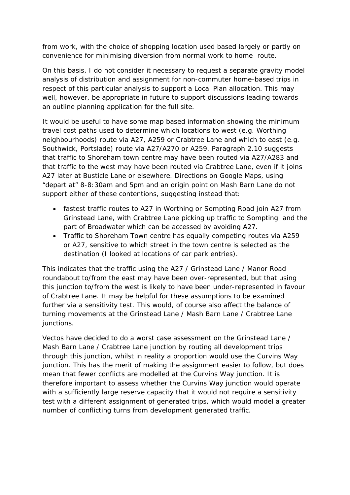from work, with the choice of shopping location used based largely or partly on convenience for minimising diversion from normal work to home route.

On this basis, I do not consider it necessary to request a separate gravity model analysis of distribution and assignment for non-commuter home-based trips in respect of this particular analysis to support a Local Plan allocation. This may well, however, be appropriate in future to support discussions leading towards an outline planning application for the full site.

It would be useful to have some map based information showing the minimum travel cost paths used to determine which locations to west (e.g. Worthing neighbourhoods) route via A27, A259 or Crabtree Lane and which to east (e.g. Southwick, Portslade) route via A27/A270 or A259. Paragraph 2.10 suggests that traffic to Shoreham town centre may have been routed via A27/A283 and that traffic to the west may have been routed via Crabtree Lane, even if it joins A27 later at Busticle Lane or elsewhere. Directions on Google Maps, using "depart at" 8-8:30am and 5pm and an origin point on Mash Barn Lane do not support either of these contentions, suggesting instead that:

- fastest traffic routes to A27 in Worthing or Sompting Road join A27 from Grinstead Lane, with Crabtree Lane picking up traffic to Sompting and the part of Broadwater which can be accessed by avoiding A27.
- Traffic to Shoreham Town centre has equally competing routes via A259 or A27, sensitive to which street in the town centre is selected as the destination (I looked at locations of car park entries).

This indicates that the traffic using the A27 / Grinstead Lane / Manor Road roundabout to/from the east may have been over-represented, but that using this junction to/from the west is likely to have been under-represented in favour of Crabtree Lane. It may be helpful for these assumptions to be examined further via a sensitivity test. This would, of course also affect the balance of turning movements at the Grinstead Lane / Mash Barn Lane / Crabtree Lane junctions.

Vectos have decided to do a worst case assessment on the Grinstead Lane / Mash Barn Lane / Crabtree Lane junction by routing all development trips through this junction, whilst in reality a proportion would use the Curvins Way junction. This has the merit of making the assignment easier to follow, but does mean that fewer conflicts are modelled at the Curvins Way junction. It is therefore important to assess whether the Curvins Way junction would operate with a sufficiently large reserve capacity that it would not require a sensitivity test with a different assignment of generated trips, which would model a greater number of conflicting turns from development generated traffic.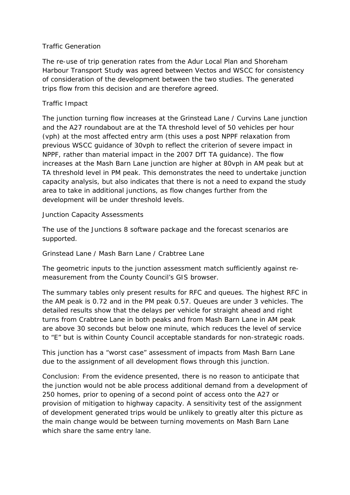## *Traffic Generation*

The re-use of trip generation rates from the Adur Local Plan and Shoreham Harbour Transport Study was agreed between Vectos and WSCC for consistency of consideration of the development between the two studies. The generated trips flow from this decision and are therefore agreed.

# *Traffic Impact*

The junction turning flow increases at the Grinstead Lane / Curvins Lane junction and the A27 roundabout are at the TA threshold level of 50 vehicles per hour (vph) at the most affected entry arm (this uses a post NPPF relaxation from previous WSCC guidance of 30vph to reflect the criterion of severe impact in NPPF, rather than material impact in the 2007 DfT TA guidance). The flow increases at the Mash Barn Lane junction are higher at 80vph in AM peak but at TA threshold level in PM peak. This demonstrates the need to undertake junction capacity analysis, but also indicates that there is not a need to expand the study area to take in additional junctions, as flow changes further from the development will be under threshold levels.

## *Junction Capacity Assessments*

The use of the Junctions 8 software package and the forecast scenarios are supported.

## *Grinstead Lane / Mash Barn Lane / Crabtree Lane*

The geometric inputs to the junction assessment match sufficiently against remeasurement from the County Council's GIS browser.

The summary tables only present results for RFC and queues. The highest RFC in the AM peak is 0.72 and in the PM peak 0.57. Queues are under 3 vehicles. The detailed results show that the delays per vehicle for straight ahead and right turns from Crabtree Lane in both peaks and from Mash Barn Lane in AM peak are above 30 seconds but below one minute, which reduces the level of service to "E" but is within County Council acceptable standards for non-strategic roads.

This junction has a "worst case" assessment of impacts from Mash Barn Lane due to the assignment of all development flows through this junction.

Conclusion: From the evidence presented, there is no reason to anticipate that the junction would not be able process additional demand from a development of 250 homes, prior to opening of a second point of access onto the A27 or provision of mitigation to highway capacity. A sensitivity test of the assignment of development generated trips would be unlikely to greatly alter this picture as the main change would be between turning movements on Mash Barn Lane which share the same entry lane.